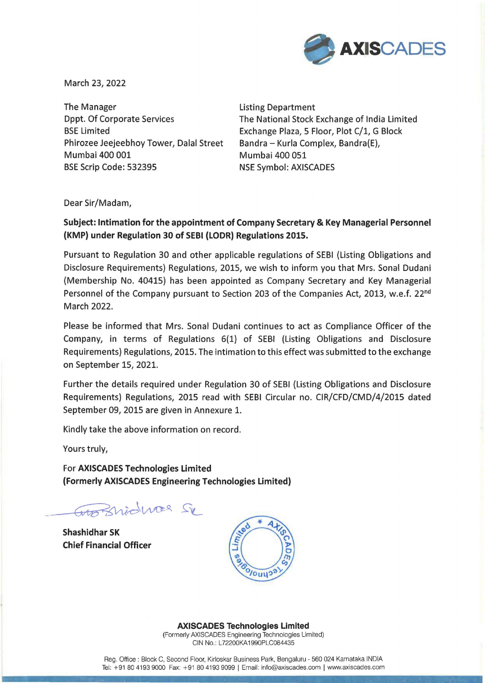

March 23, 2022

The Manager The Manager **Listing Department** Dppt. Of Corporate Services BSE Limited Phirozee Jeejeebhoy Tower, Dalal Street Mumbai 400 001 BSE Scrip Code: 532395 NSE Symbol: AXISCADES

The National Stock Exchange of India Limited Exchange Plaza, 5 Floor, Plot C/1, G Block Bandra - Kurla Complex, Bandra(E), Mumbai 400 051

Dear Sir/Madam,

## **Subject: Intimation for the appointment of Company Secretary & Key Managerial Personnel (KMP) under Regulation 30 of SEBI (LODR} Regulations 2015.**

Pursuant to Regulation 30 and other applicable regulations of SEBI (Listing Obligations and Disclosure Requirements) Regulations, 2015, we wish to inform you that Mrs. Sonal Dudani (Membership No. 40415) has been appointed as Company Secretary and Key Managerial Personnel of the Company pursuant to Section 203 of the Companies Act, 2013, w.e.f. 22<sup>nd</sup> March 2022.

Please be informed that Mrs. Sonal Dudani continues to act as Compliance Officer of the Company, in terms of Regulations 6(1) of SEBI (Listing Obligations and Disclosure Requirements) Regulations, 2015. The intimation to this effect was submitted to the exchange on September 15, 2021.

Further the details required under Regulation 30 of SEBI (Listing Obligations and Disclosure Requirements) Regulations, 2015 read with SEBI Circular no. CIR/CFD/CMD/4/2015 dated September 09, 2015 are given in Annexure 1.

Kindly take the above information on record.

Yours truly,

For **AXISCADES Technologies Limited (Formerly AXISCADES Engineering Technologies Limited)** 

Großnichner Se

**Shashidhar SK Chief Financial Officer** 



**AXISCADES Technologies Limited** 

(Formerly AXISCADES Engineering Technologies Limited) CIN No.: L72200KA1990PLC084435